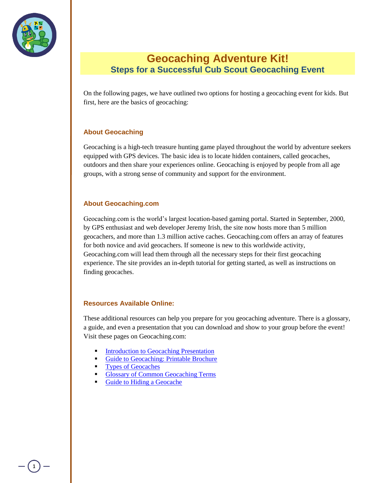

## **Geocaching Adventure Kit! Steps for a Successful Cub Scout Geocaching Event**

On the following pages, we have outlined two options for hosting a geocaching event for kids. But first, here are the basics of geocaching:

#### **About Geocaching**

Geocaching is a high-tech treasure hunting game played throughout the world by adventure seekers equipped with GPS devices. The basic idea is to locate hidden containers, called geocaches, outdoors and then share your experiences online. Geocaching is enjoyed by people from all age groups, with a strong sense of community and support for the environment.

#### **About Geocaching.com**

Geocaching.com is the world"s largest location-based gaming portal. Started in September, 2000, by GPS enthusiast and web developer Jeremy Irish, the site now hosts more than 5 million geocachers, and more than 1.3 million active caches. Geocaching.com offers an array of features for both novice and avid geocachers. If someone is new to this worldwide activity, Geocaching.com will lead them through all the necessary steps for their first geocaching experience. The site provides an in-depth tutorial for getting started, as well as instructions on finding geocaches.

#### **Resources Available Online:**

These additional resources can help you prepare for you geocaching adventure. There is a glossary, a guide, and even a presentation that you can download and show to your group before the event! Visit these pages on Geocaching.com:

- [Introduction to Geocaching Presentation](http://www.geocaching.com/resources/intro.aspx)
- [Guide to Geocaching: Printable Brochure](http://www.geocaching.com/articles/Brochures/EN/EN_Geocaching_BROCHURE_online_color.pdf)
- [Types of Geocaches](http://www.geocaching.com/about/cache_types.aspx)
- [Glossary of Common Geocaching Terms](http://www.geocaching.com/about/glossary.aspx)
- [Guide to Hiding a Geocache](http://www.geocaching.com/about/hiding.aspx)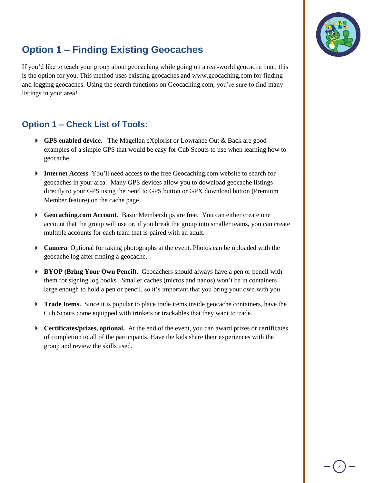

# **Option 1 – Finding Existing Geocaches**

If you"d like to teach your group about geocaching while going on a real-world geocache hunt, this is the option for you. This method uses existing geocaches and www.geocaching.com for finding and logging geocaches. Using the search functions on Geocaching.com, you"re sure to find many listings in your area!

### **Option 1 – Check List of Tools:**

- **GPS enabled device**. The Magellan eXplorist or Lowrance Out & Back are good examples of a simple GPS that would be easy for Cub Scouts to use when learning how to geocache.
- **Internet Access**. You'll need access to the free Geocaching.com website to search for geocaches in your area. Many GPS devices allow you to download geocache listings directly to your GPS using the Send to GPS button or GPX download button (Premium Member feature) on the cache page.
- **Geocaching.com Account**. Basic Memberships are free. You can either create one account that the group will use or, if you break the group into smaller teams, you can create multiple accounts for each team that is paired with an adult.
- **Camera**. Optional for taking photographs at the event. Photos can be uploaded with the geocache log after finding a geocache.
- **BYOP (Bring Your Own Pencil).** Geocachers should always have a pen or pencil with them for signing log books. Smaller caches (micros and nanos) won"t be in containers large enough to hold a pen or pencil, so it's important that you bring your own with you.
- **Trade Items.** Since it is popular to place trade items inside geocache containers, have the Cub Scouts come equipped with trinkets or trackables that they want to trade.
- **Certificates/prizes, optional.** At the end of the event, you can award prizes or certificates of completion to all of the participants. Have the kids share their experiences with the group and review the skills used.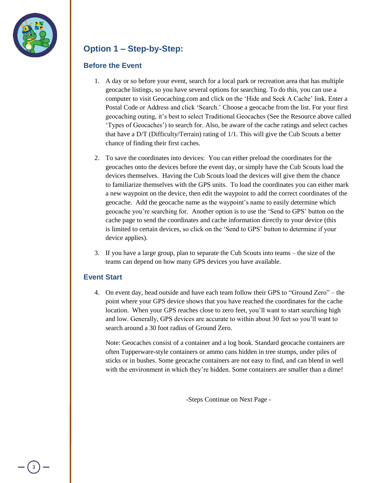

## **Option 1 – Step-by-Step:**

#### **Before the Event**

- 1. A day or so before your event, search for a local park or recreation area that has multiple geocache listings, so you have several options for searching. To do this, you can use a computer to visit Geocaching.com and click on the "Hide and Seek A Cache" link. Enter a Postal Code or Address and click "Search." Choose a geocache from the list. For your first geocaching outing, it"s best to select Traditional Geocaches (See the Resource above called "Types of Geocaches") to search for. Also, be aware of the cache ratings and select caches that have a D/T (Difficulty/Terrain) rating of 1/1. This will give the Cub Scouts a better chance of finding their first caches.
- 2. To save the coordinates into devices: You can either preload the coordinates for the geocaches onto the devices before the event day, or simply have the Cub Scouts load the devices themselves. Having the Cub Scouts load the devices will give them the chance to familiarize themselves with the GPS units. To load the coordinates you can either mark a new waypoint on the device, then edit the waypoint to add the correct coordinates of the geocache. Add the geocache name as the waypoint"s name to easily determine which geocache you"re searching for. Another option is to use the "Send to GPS" button on the cache page to send the coordinates and cache information directly to your device (this is limited to certain devices, so click on the "Send to GPS" button to determine if your device applies).
- 3. If you have a large group, plan to separate the Cub Scouts into teams the size of the teams can depend on how many GPS devices you have available.

#### **Event Start**

4. On event day, head outside and have each team follow their GPS to "Ground Zero" – the point where your GPS device shows that you have reached the coordinates for the cache location. When your GPS reaches close to zero feet, you"ll want to start searching high and low. Generally, GPS devices are accurate to within about 30 feet so you"ll want to search around a 30 foot radius of Ground Zero.

Note: Geocaches consist of a container and a log book. Standard geocache containers are often Tupperware-style containers or ammo cans hidden in tree stumps, under piles of sticks or in bushes. Some geocache containers are not easy to find, and can blend in well with the environment in which they're hidden. Some containers are smaller than a dime!

-Steps Continue on Next Page -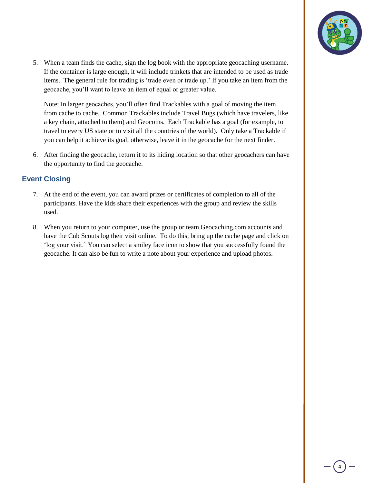

5. When a team finds the cache, sign the log book with the appropriate geocaching username. If the container is large enough, it will include trinkets that are intended to be used as trade items. The general rule for trading is 'trade even or trade up.' If you take an item from the geocache, you"ll want to leave an item of equal or greater value.

Note: In larger geocaches, you"ll often find Trackables with a goal of moving the item from cache to cache. Common Trackables include Travel Bugs (which have travelers, like a key chain, attached to them) and Geocoins. Each Trackable has a goal (for example, to travel to every US state or to visit all the countries of the world). Only take a Trackable if you can help it achieve its goal, otherwise, leave it in the geocache for the next finder.

6. After finding the geocache, return it to its hiding location so that other geocachers can have the opportunity to find the geocache.

#### **Event Closing**

- 7. At the end of the event, you can award prizes or certificates of completion to all of the participants. Have the kids share their experiences with the group and review the skills used.
- 8. When you return to your computer, use the group or team Geocaching.com accounts and have the Cub Scouts log their visit online. To do this, bring up the cache page and click on 'log your visit.' You can select a smiley face icon to show that you successfully found the geocache. It can also be fun to write a note about your experience and upload photos.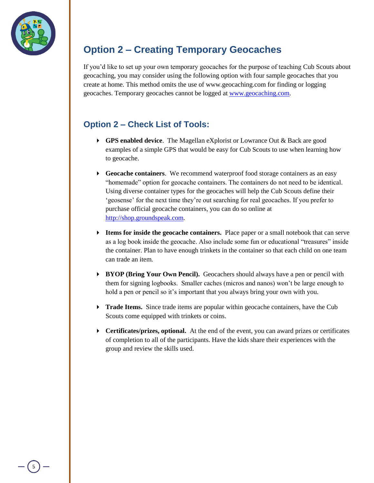

# **Option 2 – Creating Temporary Geocaches**

If you"d like to set up your own temporary geocaches for the purpose of teaching Cub Scouts about geocaching, you may consider using the following option with four sample geocaches that you create at home. This method omits the use of www.geocaching.com for finding or logging geocaches. Temporary geocaches cannot be logged at [www.geocaching.com.](http://www.geocaching.com/)

## **Option 2 – Check List of Tools:**

- **GPS enabled device**. The Magellan eXplorist or Lowrance Out & Back are good examples of a simple GPS that would be easy for Cub Scouts to use when learning how to geocache.
- **Geocache containers**. We recommend waterproof food storage containers as an easy "homemade" option for geocache containers. The containers do not need to be identical. Using diverse container types for the geocaches will help the Cub Scouts define their " geosense" for the next time they're out searching for real geocaches. If you prefer to purchase official geocache containers, you can do so online at [http://shop.groundspeak.com.](http://shop.groundspeak.com/)
- **Items for inside the geocache containers.** Place paper or a small notebook that can serve as a log book inside the geocache. Also include some fun or educational "treasures" inside the container. Plan to have enough trinkets in the container so that each child on one team can trade an item.
- **BYOP (Bring Your Own Pencil).** Geocachers should always have a pen or pencil with them for signing logbooks. Smaller caches (micros and nanos) won"t be large enough to hold a pen or pencil so it's important that you always bring your own with you.
- **Trade Items.** Since trade items are popular within geocache containers, have the Cub Scouts come equipped with trinkets or coins.
- **Certificates/prizes, optional.** At the end of the event, you can award prizes or certificates of completion to all of the participants. Have the kids share their experiences with the group and review the skills used.